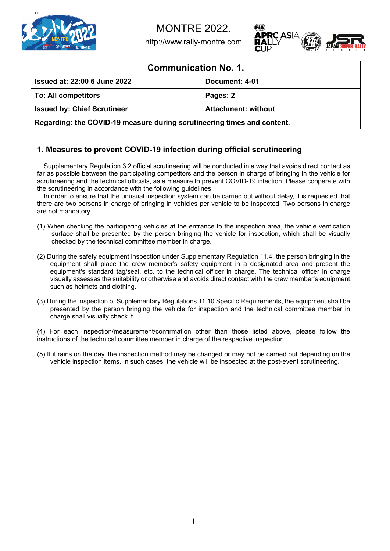

http://www.rally-montre.com



| <b>Communication No. 1.</b>                                             |                            |  |  |  |
|-------------------------------------------------------------------------|----------------------------|--|--|--|
| <b>Issued at: 22:00 6 June 2022</b>                                     | Document: 4-01             |  |  |  |
| <b>To: All competitors</b>                                              | Pages: 2                   |  |  |  |
| <b>Issued by: Chief Scrutineer</b>                                      | <b>Attachment: without</b> |  |  |  |
| Regarding: the COVID-19 measure during scrutineering times and content. |                            |  |  |  |

## **1. Measures to prevent COVID-19 infection during official scrutineering**

Supplementary Regulation 3.2 official scrutineering will be conducted in a way that avoids direct contact as far as possible between the participating competitors and the person in charge of bringing in the vehicle for scrutineering and the technical officials, as a measure to prevent COVID-19 infection. Please cooperate with the scrutineering in accordance with the following guidelines.

In order to ensure that the unusual inspection system can be carried out without delay, it is requested that there are two persons in charge of bringing in vehicles per vehicle to be inspected. Two persons in charge are not mandatory.

- (1) When checking the participating vehicles at the entrance to the inspection area, the vehicle verification surface shall be presented by the person bringing the vehicle for inspection, which shall be visually checked by the technical committee member in charge.
- (2) During the safety equipment inspection under Supplementary Regulation 11.4, the person bringing in the equipment shall place the crew member's safety equipment in a designated area and present the equipment's standard tag/seal, etc. to the technical officer in charge. The technical officer in charge visually assesses the suitability or otherwise and avoids direct contact with the crew member's equipment, such as helmets and clothing.
- (3) During the inspection of Supplementary Regulations 11.10 Specific Requirements, the equipment shall be presented by the person bringing the vehicle for inspection and the technical committee member in charge shall visually check it.

(4) For each inspection/measurement/confirmation other than those listed above, please follow the instructions of the technical committee member in charge of the respective inspection.

(5) If it rains on the day, the inspection method may be changed or may not be carried out depending on the vehicle inspection items. In such cases, the vehicle will be inspected at the post-event scrutineering.